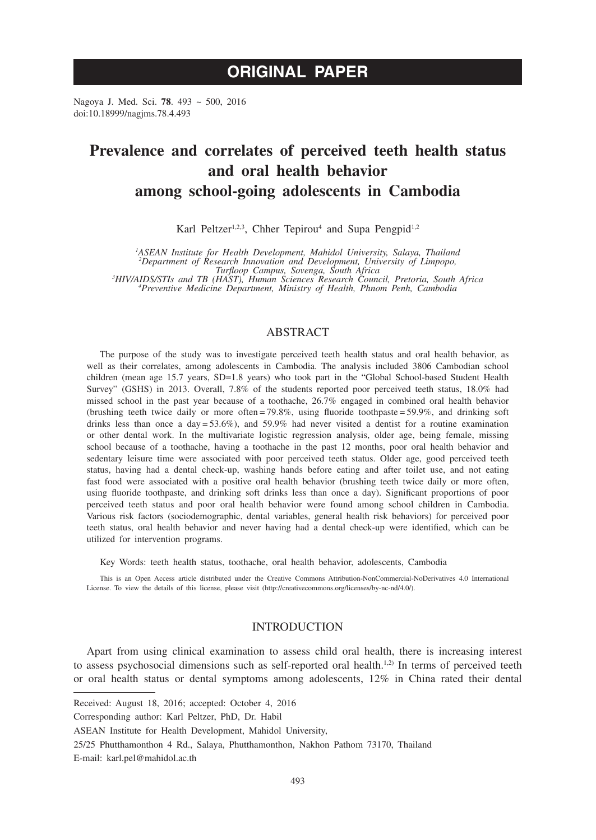# **ORIGINAL PAPER**

Nagoya J. Med. Sci. **78**. 493 ~ 500, 2016 doi:10.18999/nagjms.78.4.493

# **Prevalence and correlates of perceived teeth health status and oral health behavior among school-going adolescents in Cambodia**

Karl Peltzer<sup>1,2,3</sup>, Chher Tepirou<sup>4</sup> and Supa Pengpid<sup>1,2</sup>

<sup>1</sup>ASEAN Institute for Health Development, Mahidol University, Salaya, Thailand<br><sup>2</sup> Department of Research Innovation and Development, University of Limpopo,

*Turfloop Campus, Sovenga, South Africa*<br>
<sup>3</sup>*HIV/AIDS/STIs and TB (HAST), Human Sciences Research Council, Pretoria, South Africa*<br>
<sup>4</sup> *Preventive Medicine Denartment Ministry of Health Phnom Penh Cambodia Preventive Medicine Department, Ministry of Health, Phnom Penh, Cambodia*

# ABSTRACT

The purpose of the study was to investigate perceived teeth health status and oral health behavior, as well as their correlates, among adolescents in Cambodia. The analysis included 3806 Cambodian school children (mean age 15.7 years, SD=1.8 years) who took part in the "Global School-based Student Health Survey" (GSHS) in 2013. Overall, 7.8% of the students reported poor perceived teeth status, 18.0% had missed school in the past year because of a toothache, 26.7% engaged in combined oral health behavior (brushing teeth twice daily or more often = 79.8%, using fluoride toothpaste = 59.9%, and drinking soft drinks less than once a day = 53.6%), and 59.9% had never visited a dentist for a routine examination or other dental work. In the multivariate logistic regression analysis, older age, being female, missing school because of a toothache, having a toothache in the past 12 months, poor oral health behavior and sedentary leisure time were associated with poor perceived teeth status. Older age, good perceived teeth status, having had a dental check-up, washing hands before eating and after toilet use, and not eating fast food were associated with a positive oral health behavior (brushing teeth twice daily or more often, using fluoride toothpaste, and drinking soft drinks less than once a day). Significant proportions of poor perceived teeth status and poor oral health behavior were found among school children in Cambodia. Various risk factors (sociodemographic, dental variables, general health risk behaviors) for perceived poor teeth status, oral health behavior and never having had a dental check-up were identified, which can be utilized for intervention programs.

Key Words: teeth health status, toothache, oral health behavior, adolescents, Cambodia

This is an Open Access article distributed under the Creative Commons Attribution-NonCommercial-NoDerivatives 4.0 International License. To view the details of this license, please visit (http://creativecommons.org/licenses/by-nc-nd/4.0/).

## INTRODUCTION

Apart from using clinical examination to assess child oral health, there is increasing interest to assess psychosocial dimensions such as self-reported oral health.<sup>1,2)</sup> In terms of perceived teeth or oral health status or dental symptoms among adolescents, 12% in China rated their dental

Received: August 18, 2016; accepted: October 4, 2016

Corresponding author: Karl Peltzer, PhD, Dr. Habil

ASEAN Institute for Health Development, Mahidol University,

<sup>25/25</sup> Phutthamonthon 4 Rd., Salaya, Phutthamonthon, Nakhon Pathom 73170, Thailand

E-mail: karl.pel@mahidol.ac.th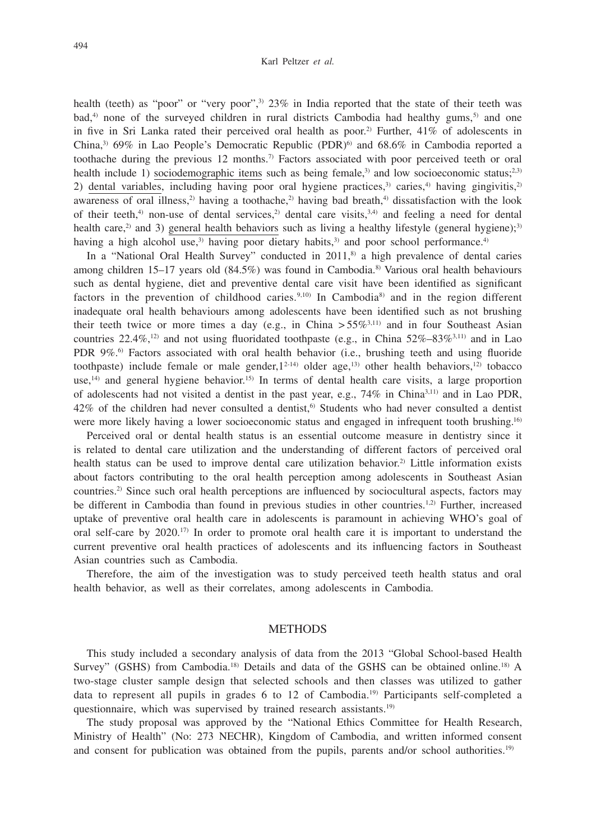health (teeth) as "poor" or "very poor",<sup>3)</sup> 23% in India reported that the state of their teeth was  $bad$ ,<sup>4)</sup> none of the surveyed children in rural districts Cambodia had healthy gums,<sup>5)</sup> and one in five in Sri Lanka rated their perceived oral health as poor.<sup>2)</sup> Further,  $41\%$  of adolescents in China,<sup>3)</sup> 69% in Lao People's Democratic Republic (PDR)<sup>6)</sup> and 68.6% in Cambodia reported a toothache during the previous 12 months.7) Factors associated with poor perceived teeth or oral health include 1) sociodemographic items such as being female,<sup>3)</sup> and low socioeconomic status;<sup>2,3)</sup> 2) dental variables, including having poor oral hygiene practices, $3$  caries, $4$  having gingivitis, $2$ awareness of oral illness,<sup>2)</sup> having a toothache,<sup>2)</sup> having bad breath,<sup>4)</sup> dissatisfaction with the look of their teeth,<sup>4)</sup> non-use of dental services,<sup>2)</sup> dental care visits,<sup>3,4)</sup> and feeling a need for dental health care,<sup>2)</sup> and 3) general health behaviors such as living a healthy lifestyle (general hygiene);<sup>3)</sup> having a high alcohol use,<sup>3)</sup> having poor dietary habits,<sup>3)</sup> and poor school performance.<sup>4)</sup>

In a "National Oral Health Survey" conducted in  $2011$ ,  $\delta$  a high prevalence of dental caries among children 15–17 years old (84.5%) was found in Cambodia.<sup>8)</sup> Various oral health behaviours such as dental hygiene, diet and preventive dental care visit have been identified as significant factors in the prevention of childhood caries.<sup>9,10)</sup> In Cambodia<sup>8</sup> and in the region different inadequate oral health behaviours among adolescents have been identified such as not brushing their teeth twice or more times a day (e.g., in China  $> 55\%^{3,11}$ ) and in four Southeast Asian countries 22.4%,<sup>12)</sup> and not using fluoridated toothpaste (e.g., in China  $52\% - 83\%^{3,11}$ ) and in Lao PDR 9%.<sup>6)</sup> Factors associated with oral health behavior (i.e., brushing teeth and using fluoride toothpaste) include female or male gender,  $1^{2-14}$  older age,<sup>13</sup> other health behaviors,<sup>12</sup> tobacco use,<sup>14)</sup> and general hygiene behavior.<sup>15)</sup> In terms of dental health care visits, a large proportion of adolescents had not visited a dentist in the past year, e.g.,  $74\%$  in China<sup>3,11)</sup> and in Lao PDR,  $42\%$  of the children had never consulted a dentist,<sup>6)</sup> Students who had never consulted a dentist were more likely having a lower socioeconomic status and engaged in infrequent tooth brushing.<sup>16)</sup>

Perceived oral or dental health status is an essential outcome measure in dentistry since it is related to dental care utilization and the understanding of different factors of perceived oral health status can be used to improve dental care utilization behavior.<sup>2)</sup> Little information exists about factors contributing to the oral health perception among adolescents in Southeast Asian countries.2) Since such oral health perceptions are influenced by sociocultural aspects, factors may be different in Cambodia than found in previous studies in other countries.<sup>1,2)</sup> Further, increased uptake of preventive oral health care in adolescents is paramount in achieving WHO's goal of oral self-care by 2020.17) In order to promote oral health care it is important to understand the current preventive oral health practices of adolescents and its influencing factors in Southeast Asian countries such as Cambodia.

Therefore, the aim of the investigation was to study perceived teeth health status and oral health behavior, as well as their correlates, among adolescents in Cambodia.

#### METHODS

This study included a secondary analysis of data from the 2013 "Global School-based Health Survey" (GSHS) from Cambodia.<sup>18)</sup> Details and data of the GSHS can be obtained online.<sup>18)</sup> A two-stage cluster sample design that selected schools and then classes was utilized to gather data to represent all pupils in grades 6 to 12 of Cambodia.<sup>19)</sup> Participants self-completed a questionnaire, which was supervised by trained research assistants.<sup>19)</sup>

The study proposal was approved by the "National Ethics Committee for Health Research, Ministry of Health" (No: 273 NECHR), Kingdom of Cambodia, and written informed consent and consent for publication was obtained from the pupils, parents and/or school authorities.<sup>19)</sup>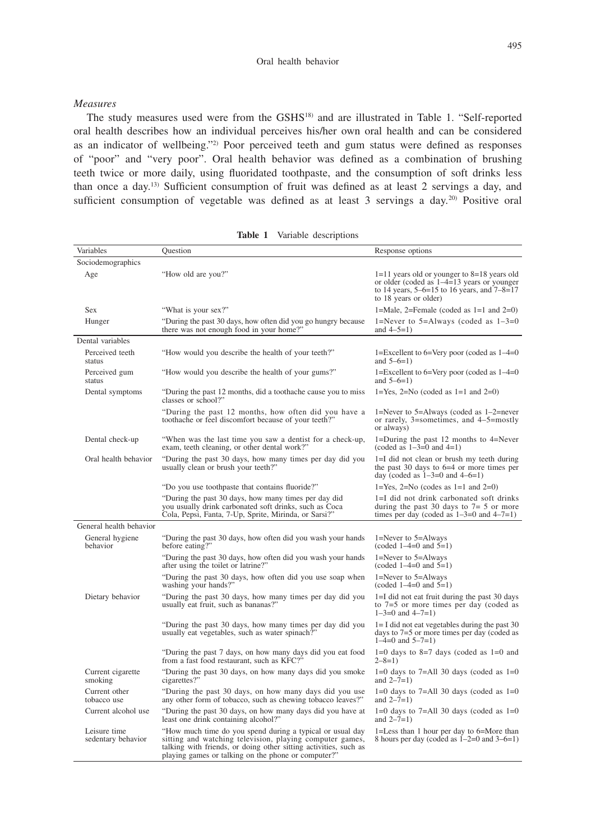### *Measures*

The study measures used were from the GSHS18) and are illustrated in Table 1. "Self-reported oral health describes how an individual perceives his/her own oral health and can be considered as an indicator of wellbeing."2) Poor perceived teeth and gum status were defined as responses of "poor" and "very poor". Oral health behavior was defined as a combination of brushing teeth twice or more daily, using fluoridated toothpaste, and the consumption of soft drinks less than once a day.13) Sufficient consumption of fruit was defined as at least 2 servings a day, and sufficient consumption of vegetable was defined as at least 3 servings a day.<sup>20)</sup> Positive oral

| Variables                          | Question                                                                                                                                                                                                                                         | Response options                                                                                                                                                            |
|------------------------------------|--------------------------------------------------------------------------------------------------------------------------------------------------------------------------------------------------------------------------------------------------|-----------------------------------------------------------------------------------------------------------------------------------------------------------------------------|
| Sociodemographics                  |                                                                                                                                                                                                                                                  |                                                                                                                                                                             |
| Age                                | "How old are you?"                                                                                                                                                                                                                               | $1=11$ years old or younger to $8=18$ years old<br>or older (coded as $1-4=13$ years or younger<br>to 14 years, $5-6=15$ to 16 years, and $7-8=17$<br>to 18 years or older) |
| <b>Sex</b>                         | "What is your sex?"                                                                                                                                                                                                                              | 1=Male, 2=Female (coded as $1=1$ and $2=0$ )                                                                                                                                |
| Hunger                             | "During the past 30 days, how often did you go hungry because<br>there was not enough food in your home?"                                                                                                                                        | 1=Never to 5=Always (coded as $1-3=0$<br>and $4 - 5 = 1$ )                                                                                                                  |
| Dental variables                   |                                                                                                                                                                                                                                                  |                                                                                                                                                                             |
| Perceived teeth<br>status          | "How would you describe the health of your teeth?"                                                                                                                                                                                               | 1=Excellent to $6=$ Very poor (coded as $1-4=0$<br>and $5-6=1$ )                                                                                                            |
| Perceived gum<br>status            | "How would you describe the health of your gums?"                                                                                                                                                                                                | 1=Excellent to 6=Very poor (coded as 1-4=0)<br>and $5-6=1$ )                                                                                                                |
| Dental symptoms                    | "During the past 12 months, did a toothache cause you to miss<br>classes or school?"                                                                                                                                                             | $1 = Yes$ , $2 = No$ (coded as $1 = 1$ and $2 = 0$ )                                                                                                                        |
|                                    | "During the past 12 months, how often did you have a<br>toothache or feel discomfort because of your teeth?"                                                                                                                                     | 1=Never to 5=Always (coded as $1-2$ =never<br>or rarely, $3$ =sometimes, and $4$ -5=mostly<br>or always)                                                                    |
| Dental check-up                    | "When was the last time you saw a dentist for a check-up,<br>exam, teeth cleaning, or other dental work?"                                                                                                                                        | 1=During the past 12 months to 4=Never<br>(coded as $1-3=0$ and $4=1$ )                                                                                                     |
| Oral health behavior               | "During the past 30 days, how many times per day did you<br>usually clean or brush your teeth?"                                                                                                                                                  | 1=I did not clean or brush my teeth during<br>the past 30 days to $6=4$ or more times per<br>day (coded as $1-3=0$ and $4-6=1$ )                                            |
|                                    | "Do you use toothpaste that contains fluoride?"                                                                                                                                                                                                  | $1 = Yes$ , $2 = No$ (codes as $1 = 1$ and $2 = 0$ )                                                                                                                        |
|                                    | "During the past 30 days, how many times per day did<br>you usually drink carbonated soft drinks, such as Coca<br>Cola, Pepsi, Fanta, 7-Up, Sprite, Mirinda, or Sarsi?"                                                                          | 1=I did not drink carbonated soft drinks<br>during the past 30 days to $7=5$ or more<br>times per day (coded as $1-3=0$ and $4-7=1$ )                                       |
| General health behavior            |                                                                                                                                                                                                                                                  |                                                                                                                                                                             |
| General hygiene<br>behavior        | "During the past 30 days, how often did you wash your hands<br>before eating?"                                                                                                                                                                   | $1 =$ Never to $5 =$ Always<br>(coded $1-4=0$ and $5=1$ )                                                                                                                   |
|                                    | "During the past 30 days, how often did you wash your hands<br>after using the toilet or latrine?"                                                                                                                                               | 1=Never to 5=Always<br>$(coded 1-4=0 and 5=1)$                                                                                                                              |
|                                    | "During the past 30 days, how often did you use soap when<br>washing your hands?"                                                                                                                                                                | $1 =$ Never to $5 =$ Always<br>$(coded 1-4=0 and 5=1)$                                                                                                                      |
| Dietary behavior                   | "During the past 30 days, how many times per day did you<br>usually eat fruit, such as bananas?"                                                                                                                                                 | $1=I$ did not eat fruit during the past 30 days<br>to $7=5$ or more times per day (coded as<br>$1 - 3 = 0$ and $4 - 7 = 1$ )                                                |
|                                    | "During the past 30 days, how many times per day did you<br>usually eat vegetables, such as water spinach?"                                                                                                                                      | $1 = I$ did not eat vegetables during the past 30<br>days to $7=5$ or more times per day (coded as<br>$1-4=0$ and $5-7=1$ )                                                 |
|                                    | "During the past 7 days, on how many days did you eat food<br>from a fast food restaurant, such as KFC?"                                                                                                                                         | $1=0$ days to 8=7 days (coded as $1=0$ and<br>$2 - 8 = 1$                                                                                                                   |
| Current cigarette<br>smoking       | "During the past 30 days, on how many days did you smoke<br>cigarettes?"                                                                                                                                                                         | $1=0$ days to 7=All 30 days (coded as $1=0$<br>and $2 - 7 = 1$ )                                                                                                            |
| Current other<br>tobacco use       | "During the past 30 days, on how many days did you use<br>any other form of tobacco, such as chewing tobacco leaves?"                                                                                                                            | $1=0$ days to 7=All 30 days (coded as $1=0$<br>and $2 - 7 = 1$ )                                                                                                            |
| Current alcohol use                | "During the past 30 days, on how many days did you have at<br>least one drink containing alcohol?"                                                                                                                                               | $1=0$ days to 7=All 30 days (coded as $1=0$<br>and $2 - 7 = 1$ )                                                                                                            |
| Leisure time<br>sedentary behavior | "How much time do you spend during a typical or usual day<br>sitting and watching television, playing computer games,<br>talking with friends, or doing other sitting activities, such as<br>playing games or talking on the phone or computer?" | 1=Less than 1 hour per day to 6=More than<br>8 hours per day (coded as $1-2=0$ and $3-6=1$ )                                                                                |

**Table 1** Variable descriptions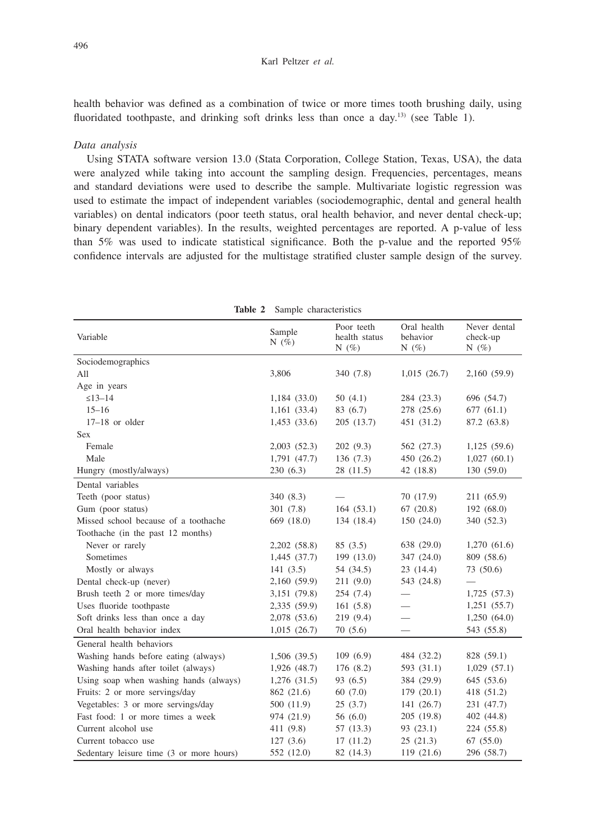health behavior was defined as a combination of twice or more times tooth brushing daily, using fluoridated toothpaste, and drinking soft drinks less than once a day.<sup>13)</sup> (see Table 1).

## *Data analysis*

Using STATA software version 13.0 (Stata Corporation, College Station, Texas, USA), the data were analyzed while taking into account the sampling design. Frequencies, percentages, means and standard deviations were used to describe the sample. Multivariate logistic regression was used to estimate the impact of independent variables (sociodemographic, dental and general health variables) on dental indicators (poor teeth status, oral health behavior, and never dental check-up; binary dependent variables). In the results, weighted percentages are reported. A p-value of less than 5% was used to indicate statistical significance. Both the p-value and the reported 95% confidence intervals are adjusted for the multistage stratified cluster sample design of the survey.

| Variable                                 | Sample<br>N $(\% )$ | Poor teeth<br>health status<br>N $(\% )$ | Oral health<br>behavior<br>N $(\% )$ | Never dental<br>check-up<br>N $(\% )$ |
|------------------------------------------|---------------------|------------------------------------------|--------------------------------------|---------------------------------------|
| Sociodemographics                        |                     |                                          |                                      |                                       |
| All                                      | 3,806               | 340 (7.8)                                | 1,015(26.7)                          | 2,160 (59.9)                          |
| Age in years                             |                     |                                          |                                      |                                       |
| $\leq 13 - 14$                           | 1,184(33.0)         | 50(4.1)                                  | 284 (23.3)                           | 696 (54.7)                            |
| $15 - 16$                                | 1,161(33.4)         | 83 (6.7)                                 | 278 (25.6)                           | 677(61.1)                             |
| $17-18$ or older                         | 1,453(33.6)         | 205(13.7)                                | 451 (31.2)                           | 87.2 (63.8)                           |
| <b>Sex</b>                               |                     |                                          |                                      |                                       |
| Female                                   | 2,003(52.3)         | 202(9.3)                                 | 562 (27.3)                           | 1,125 (59.6)                          |
| Male                                     | 1,791 (47.7)        | 136(7.3)                                 | 450 (26.2)                           | 1,027(60.1)                           |
| Hungry (mostly/always)                   | 230(6.3)            | 28 (11.5)                                | 42 (18.8)                            | 130 (59.0)                            |
| Dental variables                         |                     |                                          |                                      |                                       |
| Teeth (poor status)                      | 340 (8.3)           |                                          | 70 (17.9)                            | 211 (65.9)                            |
| Gum (poor status)                        | 301(7.8)            | 164(53.1)                                | 67(20.8)                             | 192(68.0)                             |
| Missed school because of a toothache     | 669 (18.0)          | 134 (18.4)                               | 150(24.0)                            | 340 (52.3)                            |
| Toothache (in the past 12 months)        |                     |                                          |                                      |                                       |
| Never or rarely                          | 2,202 (58.8)        | 85(3.5)                                  | 638 (29.0)                           | 1,270(61.6)                           |
| Sometimes                                | 1,445 (37.7)        | 199 (13.0)                               | 347 (24.0)                           | 809 (58.6)                            |
| Mostly or always                         | 141(3.5)            | 54 (34.5)                                | 23(14.4)                             | 73 (50.6)                             |
| Dental check-up (never)                  | 2,160 (59.9)        | 211(9.0)                                 | 543 (24.8)                           |                                       |
| Brush teeth 2 or more times/day          | 3,151 (79.8)        | 254 (7.4)                                |                                      | 1,725(57.3)                           |
| Uses fluoride toothpaste                 | 2,335 (59.9)        | 161(5.8)                                 |                                      | 1,251 (55.7)                          |
| Soft drinks less than once a day         | 2,078 (53.6)        | 219 (9.4)                                | $\overline{\phantom{0}}$             | 1,250(64.0)                           |
| Oral health behavior index               | 1,015(26.7)         | 70(5.6)                                  |                                      | 543 (55.8)                            |
| General health behaviors                 |                     |                                          |                                      |                                       |
| Washing hands before eating (always)     | 1,506 (39.5)        | 109(6.9)                                 | 484 (32.2)                           | 828 (59.1)                            |
| Washing hands after toilet (always)      | 1,926 (48.7)        | 176 (8.2)                                | 593 (31.1)                           | 1,029(57.1)                           |
| Using soap when washing hands (always)   | $1,276$ $(31.5)$    | 93(6.5)                                  | 384 (29.9)                           | 645 (53.6)                            |
| Fruits: 2 or more servings/day           | 862 (21.6)          | 60(7.0)                                  | 179(20.1)                            | 418 (51.2)                            |
| Vegetables: 3 or more servings/day       | 500 (11.9)          | 25(3.7)                                  | 141 (26.7)                           | 231 (47.7)                            |
| Fast food: 1 or more times a week        | 974 (21.9)          | 56 $(6.0)$                               | 205 (19.8)                           | 402 (44.8)                            |
| Current alcohol use                      | 411 (9.8)           | 57 (13.3)                                | 93(23.1)                             | 224 (55.8)                            |
| Current tobacco use                      | 127(3.6)            | 17(11.2)                                 | 25(21.3)                             | 67(55.0)                              |
| Sedentary leisure time (3 or more hours) | 552 (12.0)          | 82 (14.3)                                | 119 (21.6)                           | 296 (58.7)                            |

**Table 2** Sample characteristics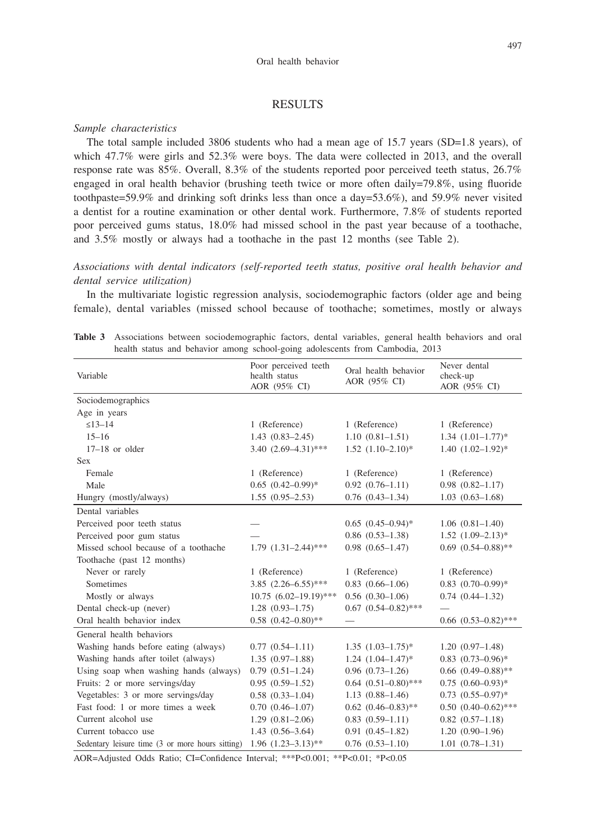## RESULTS

#### *Sample characteristics*

The total sample included 3806 students who had a mean age of 15.7 years (SD=1.8 years), of which 47.7% were girls and 52.3% were boys. The data were collected in 2013, and the overall response rate was 85%. Overall, 8.3% of the students reported poor perceived teeth status, 26.7% engaged in oral health behavior (brushing teeth twice or more often daily=79.8%, using fluoride toothpaste=59.9% and drinking soft drinks less than once a day=53.6%), and 59.9% never visited a dentist for a routine examination or other dental work. Furthermore, 7.8% of students reported poor perceived gums status, 18.0% had missed school in the past year because of a toothache, and 3.5% mostly or always had a toothache in the past 12 months (see Table 2).

*Associations with dental indicators (self-reported teeth status, positive oral health behavior and dental service utilization)*

In the multivariate logistic regression analysis, sociodemographic factors (older age and being female), dental variables (missed school because of toothache; sometimes, mostly or always

| Variable                                         | Poor perceived teeth<br>health status<br>AOR (95% CI) | Oral health behavior<br>AOR (95% CI) | Never dental<br>check-up<br>AOR (95% CI) |
|--------------------------------------------------|-------------------------------------------------------|--------------------------------------|------------------------------------------|
| Sociodemographics                                |                                                       |                                      |                                          |
| Age in years                                     |                                                       |                                      |                                          |
| $\leq 13 - 14$                                   | 1 (Reference)                                         | 1 (Reference)                        | 1 (Reference)                            |
| $15 - 16$                                        | $1.43(0.83 - 2.45)$                                   | $1.10(0.81 - 1.51)$                  | $1.34$ $(1.01-1.77)*$                    |
| $17-18$ or older                                 | 3.40 $(2.69 - 4.31)$ ***                              | $1.52$ $(1.10-2.10)*$                | $1.40(1.02 - 1.92)^*$                    |
| <b>Sex</b>                                       |                                                       |                                      |                                          |
| Female                                           | 1 (Reference)                                         | 1 (Reference)                        | 1 (Reference)                            |
| Male                                             | $0.65$ $(0.42 - 0.99)$ *                              | $0.92(0.76 - 1.11)$                  | $0.98(0.82 - 1.17)$                      |
| Hungry (mostly/always)                           | $1.55(0.95-2.53)$                                     | $0.76$ $(0.43-1.34)$                 | $1.03(0.63 - 1.68)$                      |
| Dental variables                                 |                                                       |                                      |                                          |
| Perceived poor teeth status                      |                                                       | $0.65$ $(0.45-0.94)$ *               | $1.06(0.81-1.40)$                        |
| Perceived poor gum status                        |                                                       | $0.86$ $(0.53-1.38)$                 | $1.52$ $(1.09-2.13)*$                    |
| Missed school because of a toothache             | $1.79$ $(1.31-2.44)$ ***                              | $0.98(0.65 - 1.47)$                  | $0.69$ $(0.54 - 0.88)$ **                |
| Toothache (past 12 months)                       |                                                       |                                      |                                          |
| Never or rarely                                  | 1 (Reference)                                         | 1 (Reference)                        | 1 (Reference)                            |
| Sometimes                                        | $3.85$ $(2.26 - 6.55)$ ***                            | $0.83$ $(0.66-1.06)$                 | $0.83$ $(0.70-0.99)*$                    |
| Mostly or always                                 | $10.75(6.02 - 19.19)$ ***                             | $0.56(0.30-1.06)$                    | $0.74(0.44 - 1.32)$                      |
| Dental check-up (never)                          | $1.28(0.93 - 1.75)$                                   | $0.67$ $(0.54 - 0.82)$ ***           |                                          |
| Oral health behavior index                       | $0.58$ $(0.42 - 0.80)$ **                             |                                      | $0.66$ $(0.53-0.82)$ ***                 |
| General health behaviors                         |                                                       |                                      |                                          |
| Washing hands before eating (always)             | $0.77(0.54 - 1.11)$                                   | $1.35(1.03-1.75)^*$                  | $1.20(0.97-1.48)$                        |
| Washing hands after toilet (always)              | $1.35(0.97-1.88)$                                     | $1.24$ $(1.04-1.47)$ <sup>*</sup>    | $0.83$ $(0.73-0.96)$ *                   |
| Using soap when washing hands (always)           | $0.79(0.51-1.24)$                                     | $0.96(0.73-1.26)$                    | $0.66$ $(0.49 - 0.88)$ **                |
| Fruits: 2 or more servings/day                   | $0.95(0.59-1.52)$                                     | $0.64$ $(0.51-0.80)$ ***             | $0.75(0.60-0.93)^*$                      |
| Vegetables: 3 or more servings/day               | $0.58$ $(0.33-1.04)$                                  | $1.13(0.88 - 1.46)$                  | $0.73$ $(0.55-0.97)$ *                   |
| Fast food: 1 or more times a week                | $0.70(0.46 - 1.07)$                                   | $0.62$ $(0.46 - 0.83)$ **            | $0.50$ $(0.40-0.62)$ ***                 |
| Current alcohol use                              | $1.29(0.81 - 2.06)$                                   | $0.83$ $(0.59-1.11)$                 | $0.82$ $(0.57-1.18)$                     |
| Current tobacco use                              | $1.43(0.56-3.64)$                                     | $0.91(0.45 - 1.82)$                  | $1.20(0.90-1.96)$                        |
| Sedentary leisure time (3 or more hours sitting) | $1.96$ $(1.23 - 3.13)$ **                             | $0.76$ $(0.53-1.10)$                 | $1.01(0.78-1.31)$                        |

**Table 3** Associations between sociodemographic factors, dental variables, general health behaviors and oral health status and behavior among school-going adolescents from Cambodia, 2013

AOR=Adjusted Odds Ratio; CI=Confidence Interval; \*\*\*P<0.001; \*\*P<0.01; \*P<0.05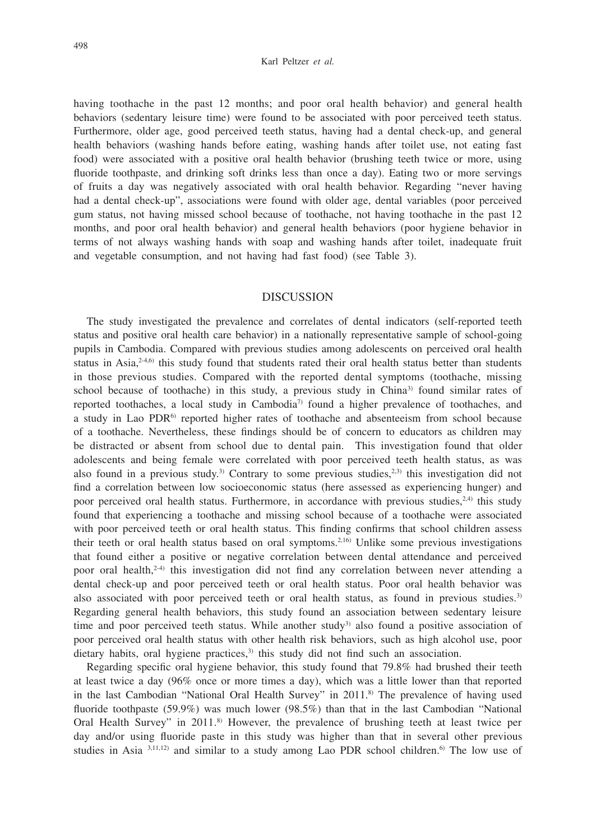#### Karl Peltzer *et al.*

having toothache in the past 12 months; and poor oral health behavior) and general health behaviors (sedentary leisure time) were found to be associated with poor perceived teeth status. Furthermore, older age, good perceived teeth status, having had a dental check-up, and general health behaviors (washing hands before eating, washing hands after toilet use, not eating fast food) were associated with a positive oral health behavior (brushing teeth twice or more, using fluoride toothpaste, and drinking soft drinks less than once a day). Eating two or more servings of fruits a day was negatively associated with oral health behavior. Regarding "never having had a dental check-up", associations were found with older age, dental variables (poor perceived gum status, not having missed school because of toothache, not having toothache in the past 12 months, and poor oral health behavior) and general health behaviors (poor hygiene behavior in terms of not always washing hands with soap and washing hands after toilet, inadequate fruit and vegetable consumption, and not having had fast food) (see Table 3).

# **DISCUSSION**

The study investigated the prevalence and correlates of dental indicators (self-reported teeth status and positive oral health care behavior) in a nationally representative sample of school-going pupils in Cambodia. Compared with previous studies among adolescents on perceived oral health status in Asia, $2.46$ ) this study found that students rated their oral health status better than students in those previous studies. Compared with the reported dental symptoms (toothache, missing school because of toothache) in this study, a previous study in China<sup>3)</sup> found similar rates of reported toothaches, a local study in Cambodia<sup>7</sup> found a higher prevalence of toothaches, and a study in Lao PDR<sup>6)</sup> reported higher rates of toothache and absenteeism from school because of a toothache. Nevertheless, these findings should be of concern to educators as children may be distracted or absent from school due to dental pain. This investigation found that older adolescents and being female were correlated with poor perceived teeth health status, as was also found in a previous study.<sup>3)</sup> Contrary to some previous studies,<sup>2,3)</sup> this investigation did not find a correlation between low socioeconomic status (here assessed as experiencing hunger) and poor perceived oral health status. Furthermore, in accordance with previous studies,  $2,4$ ) this study found that experiencing a toothache and missing school because of a toothache were associated with poor perceived teeth or oral health status. This finding confirms that school children assess their teeth or oral health status based on oral symptoms.<sup>2,16)</sup> Unlike some previous investigations that found either a positive or negative correlation between dental attendance and perceived poor oral health,<sup>2-4)</sup> this investigation did not find any correlation between never attending a dental check-up and poor perceived teeth or oral health status. Poor oral health behavior was also associated with poor perceived teeth or oral health status, as found in previous studies.<sup>3)</sup> Regarding general health behaviors, this study found an association between sedentary leisure time and poor perceived teeth status. While another study<sup>3)</sup> also found a positive association of poor perceived oral health status with other health risk behaviors, such as high alcohol use, poor dietary habits, oral hygiene practices,<sup>3)</sup> this study did not find such an association.

Regarding specific oral hygiene behavior, this study found that 79.8% had brushed their teeth at least twice a day (96% once or more times a day), which was a little lower than that reported in the last Cambodian "National Oral Health Survey" in 2011.<sup>8)</sup> The prevalence of having used fluoride toothpaste (59.9%) was much lower (98.5%) than that in the last Cambodian "National Oral Health Survey" in 2011.8) However, the prevalence of brushing teeth at least twice per day and/or using fluoride paste in this study was higher than that in several other previous studies in Asia  $3,11,12$  and similar to a study among Lao PDR school children.<sup>6)</sup> The low use of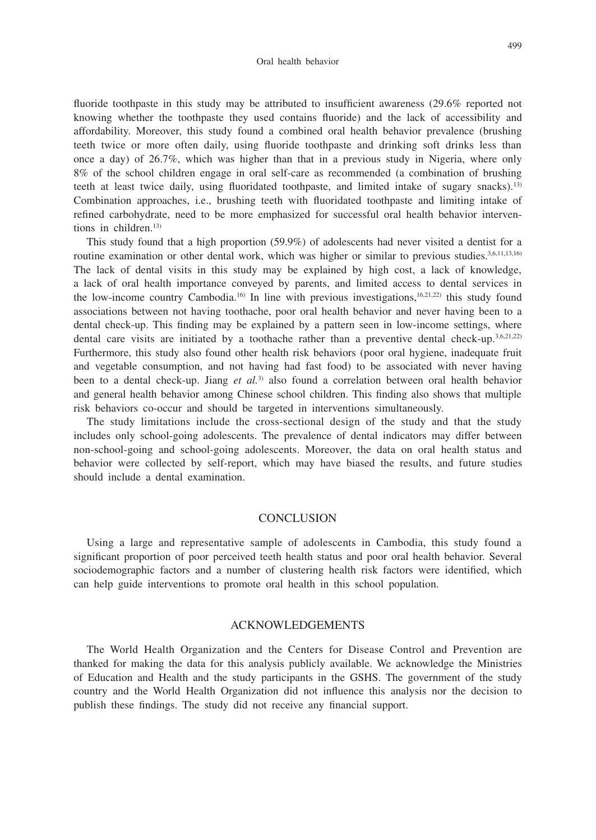fluoride toothpaste in this study may be attributed to insufficient awareness (29.6% reported not knowing whether the toothpaste they used contains fluoride) and the lack of accessibility and affordability. Moreover, this study found a combined oral health behavior prevalence (brushing teeth twice or more often daily, using fluoride toothpaste and drinking soft drinks less than once a day) of 26.7%, which was higher than that in a previous study in Nigeria, where only 8% of the school children engage in oral self-care as recommended (a combination of brushing teeth at least twice daily, using fluoridated toothpaste, and limited intake of sugary snacks).13) Combination approaches, i.e., brushing teeth with fluoridated toothpaste and limiting intake of refined carbohydrate, need to be more emphasized for successful oral health behavior interventions in children.13)

This study found that a high proportion (59.9%) of adolescents had never visited a dentist for a routine examination or other dental work, which was higher or similar to previous studies.3,6,11,13,16) The lack of dental visits in this study may be explained by high cost, a lack of knowledge, a lack of oral health importance conveyed by parents, and limited access to dental services in the low-income country Cambodia.<sup>16)</sup> In line with previous investigations, $16,21,22$  this study found associations between not having toothache, poor oral health behavior and never having been to a dental check-up. This finding may be explained by a pattern seen in low-income settings, where dental care visits are initiated by a toothache rather than a preventive dental check-up.<sup>3,6,21,22)</sup> Furthermore, this study also found other health risk behaviors (poor oral hygiene, inadequate fruit and vegetable consumption, and not having had fast food) to be associated with never having been to a dental check-up. Jiang *et al.*3) also found a correlation between oral health behavior and general health behavior among Chinese school children. This finding also shows that multiple risk behaviors co-occur and should be targeted in interventions simultaneously.

The study limitations include the cross-sectional design of the study and that the study includes only school-going adolescents. The prevalence of dental indicators may differ between non-school-going and school-going adolescents. Moreover, the data on oral health status and behavior were collected by self-report, which may have biased the results, and future studies should include a dental examination.

#### **CONCLUSION**

Using a large and representative sample of adolescents in Cambodia, this study found a significant proportion of poor perceived teeth health status and poor oral health behavior. Several sociodemographic factors and a number of clustering health risk factors were identified, which can help guide interventions to promote oral health in this school population.

# ACKNOWLEDGEMENTS

The World Health Organization and the Centers for Disease Control and Prevention are thanked for making the data for this analysis publicly available. We acknowledge the Ministries of Education and Health and the study participants in the GSHS. The government of the study country and the World Health Organization did not influence this analysis nor the decision to publish these findings. The study did not receive any financial support.